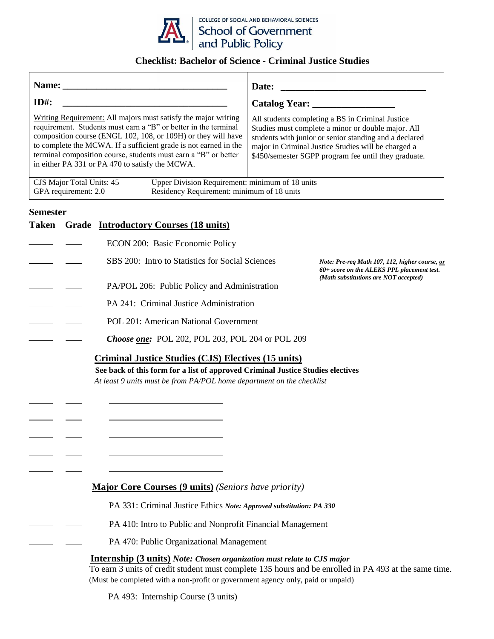

## **Checklist: Bachelor of Science - Criminal Justice Studies**

|                                                                                                                                                                                                                                                                                                                                                                                              | Date:                                                                                                                                                                                                                                                                           |
|----------------------------------------------------------------------------------------------------------------------------------------------------------------------------------------------------------------------------------------------------------------------------------------------------------------------------------------------------------------------------------------------|---------------------------------------------------------------------------------------------------------------------------------------------------------------------------------------------------------------------------------------------------------------------------------|
| $ID#$ :                                                                                                                                                                                                                                                                                                                                                                                      |                                                                                                                                                                                                                                                                                 |
| Writing Requirement: All majors must satisfy the major writing<br>requirement. Students must earn a "B" or better in the terminal<br>composition course (ENGL 102, 108, or 109H) or they will have<br>to complete the MCWA. If a sufficient grade is not earned in the<br>terminal composition course, students must earn a "B" or better<br>in either PA 331 or PA 470 to satisfy the MCWA. | All students completing a BS in Criminal Justice<br>Studies must complete a minor or double major. All<br>students with junior or senior standing and a declared<br>major in Criminal Justice Studies will be charged a<br>\$450/semester SGPP program fee until they graduate. |
| Upper Division Requirement: minimum of 18 units<br>CJS Major Total Units: 45<br>Residency Requirement: minimum of 18 units<br>GPA requirement: 2.0                                                                                                                                                                                                                                           |                                                                                                                                                                                                                                                                                 |
| <b>Semester</b>                                                                                                                                                                                                                                                                                                                                                                              |                                                                                                                                                                                                                                                                                 |
| Taken Grade <b>Introductory Courses (18 units)</b>                                                                                                                                                                                                                                                                                                                                           |                                                                                                                                                                                                                                                                                 |
| ECON 200: Basic Economic Policy                                                                                                                                                                                                                                                                                                                                                              |                                                                                                                                                                                                                                                                                 |
| SBS 200: Intro to Statistics for Social Sciences                                                                                                                                                                                                                                                                                                                                             | Note: Pre-req Math 107, 112, higher course, or<br>60+ score on the ALEKS PPL placement test.<br>(Math substitutions are NOT accepted)                                                                                                                                           |
| PA/POL 206: Public Policy and Administration                                                                                                                                                                                                                                                                                                                                                 |                                                                                                                                                                                                                                                                                 |
| PA 241: Criminal Justice Administration                                                                                                                                                                                                                                                                                                                                                      |                                                                                                                                                                                                                                                                                 |
| POL 201: American National Government                                                                                                                                                                                                                                                                                                                                                        |                                                                                                                                                                                                                                                                                 |
| Choose one: POL 202, POL 203, POL 204 or POL 209                                                                                                                                                                                                                                                                                                                                             |                                                                                                                                                                                                                                                                                 |
| Criminal Justice Studies (CJS) Electives (15 units)<br>See back of this form for a list of approved Criminal Justice Studies electives<br>At least 9 units must be from PA/POL home department on the checklist                                                                                                                                                                              |                                                                                                                                                                                                                                                                                 |
|                                                                                                                                                                                                                                                                                                                                                                                              |                                                                                                                                                                                                                                                                                 |
| <b>Major Core Courses (9 units)</b> (Seniors have priority)                                                                                                                                                                                                                                                                                                                                  |                                                                                                                                                                                                                                                                                 |
| PA 331: Criminal Justice Ethics Note: Approved substitution: PA 330                                                                                                                                                                                                                                                                                                                          |                                                                                                                                                                                                                                                                                 |
| PA 410: Intro to Public and Nonprofit Financial Management                                                                                                                                                                                                                                                                                                                                   |                                                                                                                                                                                                                                                                                 |
| PA 470: Public Organizational Management                                                                                                                                                                                                                                                                                                                                                     |                                                                                                                                                                                                                                                                                 |
| <b>Internship (3 units)</b> Note: Chosen organization must relate to CJS major<br>(Must be completed with a non-profit or government agency only, paid or unpaid)                                                                                                                                                                                                                            | To earn 3 units of credit student must complete 135 hours and be enrolled in PA 493 at the same time.                                                                                                                                                                           |

PA 493: Internship Course (3 units)